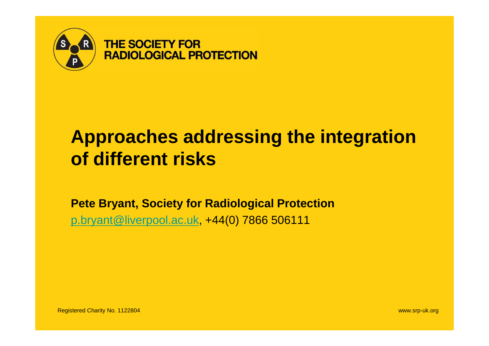

# **Approaches addressing the integration of different risks**

**Pete Bryant, Society for Radiological Protection** p.bryant@liverpool.ac.uk, +44(0) 7866 506111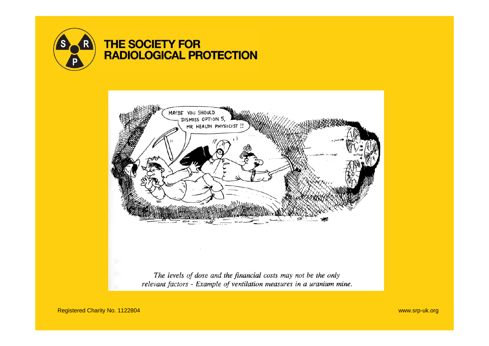



Registered Charity No. 1122804 www.srp-uk.org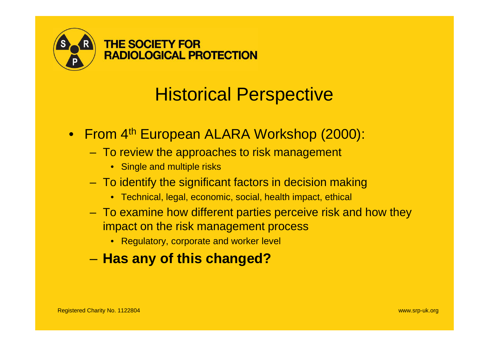

# Historical Perspective

- From 4<sup>th</sup> European ALARA Workshop (2000):
	- To review the approaches to risk management
		- Single and multiple risks
	- To identify the significant factors in decision making
		- Technical, legal, economic, social, health impact, ethical
	- To examine how different parties perceive risk and how they impact on the risk management process
		- Regulatory, corporate and worker level
	- **Has any of this changed?**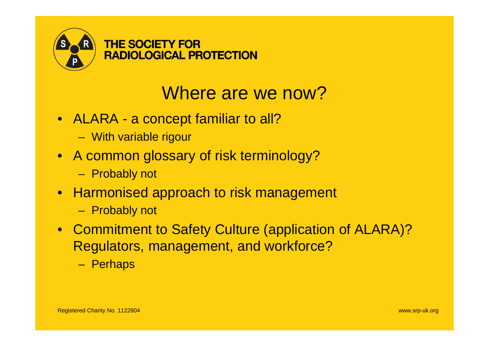

## Where are we now?

- ALARA a concept familiar to all?
	- With variable rigour
- A common glossary of risk terminology?
	- Probably not
- Harmonised approach to risk management
	- Probably not
- Commitment to Safety Culture (application of ALARA)? Regulators, management, and workforce?
	- Perhaps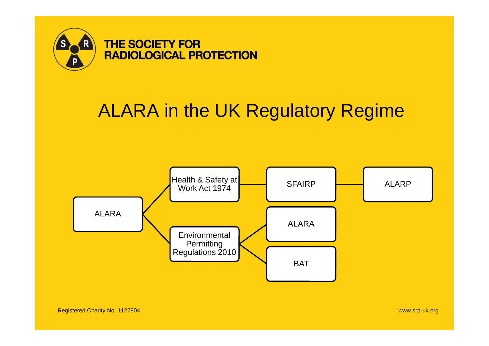

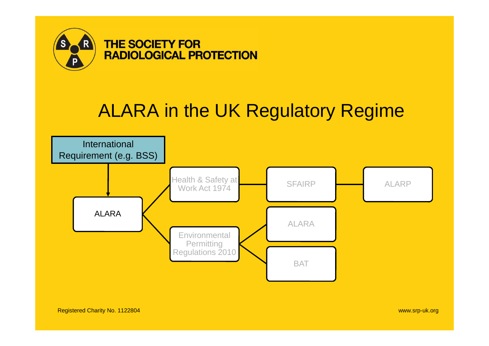

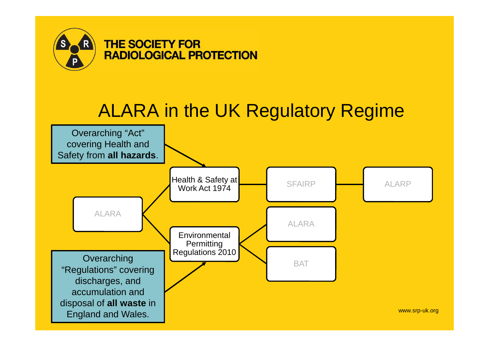

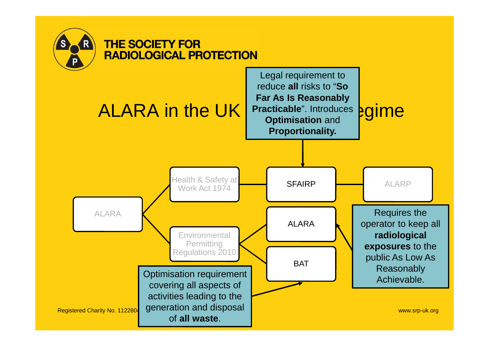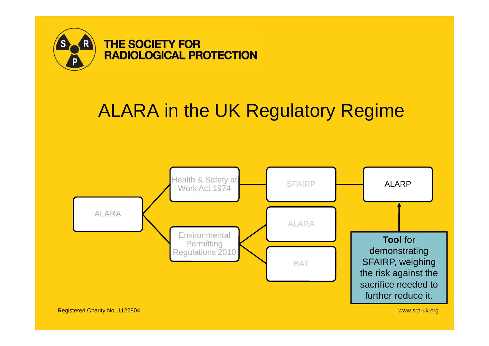

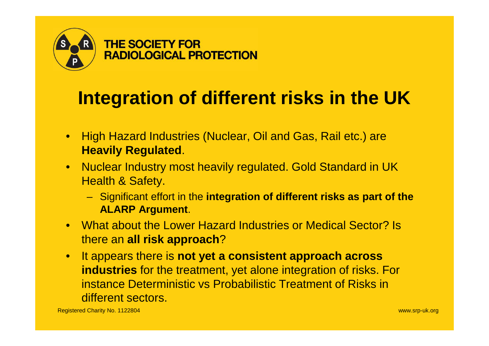

# **Integration of different risks in the UK**

- High Hazard Industries (Nuclear, Oil and Gas, Rail etc.) are **Heavily Regulated**.
- Nuclear Industry most heavily regulated. Gold Standard in UK Health & Safety.
	- Significant effort in the **integration of different risks as part of the ALARP Argument**.
- What about the Lower Hazard Industries or Medical Sector? Is there an **all risk approach**?
- It appears there is **not yet a consistent approach across industries** for the treatment, yet alone integration of risks. For instance Deterministic vs Probabilistic Treatment of Risks in different sectors.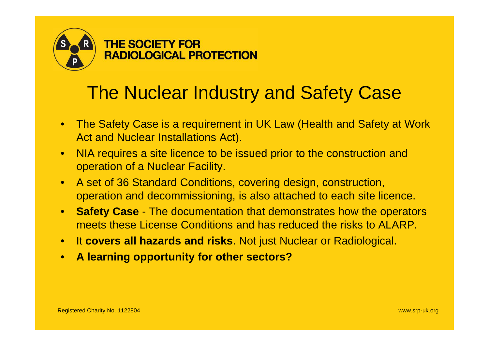

## The Nuclear Industry and Safety Case

- The Safety Case is a requirement in UK Law (Health and Safety at Work Act and Nuclear Installations Act).
- NIA requires a site licence to be issued prior to the construction and operation of a Nuclear Facility.
- A set of 36 Standard Conditions, covering design, construction, operation and decommissioning, is also attached to each site licence.
- **Safety Case** The documentation that demonstrates how the operators meets these License Conditions and has reduced the risks to ALARP.
- It **covers all hazards and risks**. Not just Nuclear or Radiological.
- **A learning opportunity for other sectors?**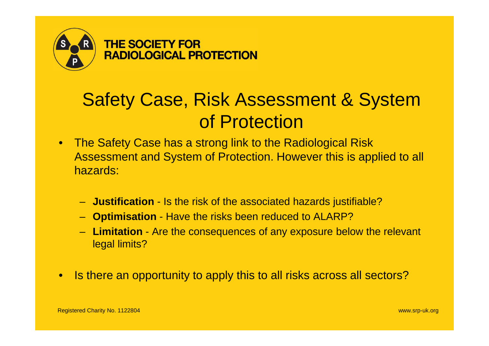

# Safety Case, Risk Assessment & System of Protection

- The Safety Case has a strong link to the Radiological Risk Assessment and System of Protection. However this is applied to all hazards:
	- **Justification** Is the risk of the associated hazards justifiable?
	- **Optimisation** Have the risks been reduced to ALARP?
	- **Limitation** Are the consequences of any exposure below the relevant legal limits?
- Is there an opportunity to apply this to all risks across all sectors?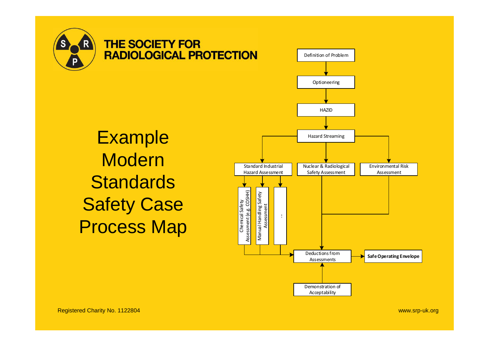



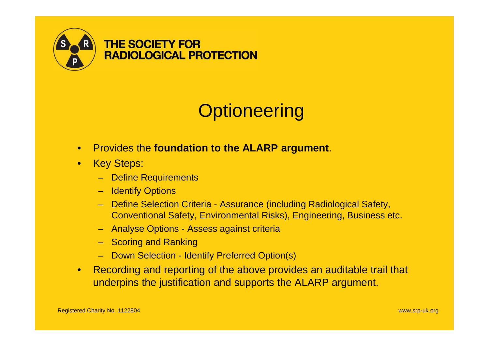

# **Optioneering**

- Provides the **foundation to the ALARP argument**.
- Key Steps:
	- Define Requirements
	- Identify Options
	- Define Selection Criteria Assurance (including Radiological Safety, Conventional Safety, Environmental Risks), Engineering, Business etc.
	- Analyse Options Assess against criteria
	- Scoring and Ranking
	- Down Selection Identify Preferred Option(s)
- Recording and reporting of the above provides an auditable trail that underpins the justification and supports the ALARP argument.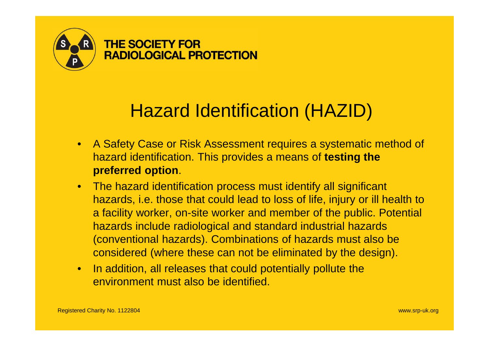

## Hazard Identification (HAZID)

- A Safety Case or Risk Assessment requires a systematic method of hazard identification. This provides a means of **testing the preferred option**.
- The hazard identification process must identify all significant hazards, i.e. those that could lead to loss of life, injury or ill health to a facility worker, on-site worker and member of the public. Potential hazards include radiological and standard industrial hazards (conventional hazards). Combinations of hazards must also be considered (where these can not be eliminated by the design).
- In addition, all releases that could potentially pollute the environment must also be identified.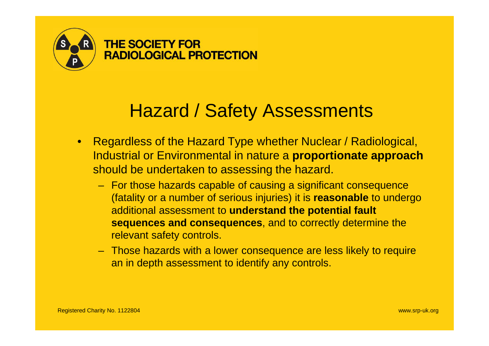

## Hazard / Safety Assessments

- Regardless of the Hazard Type whether Nuclear / Radiological, Industrial or Environmental in nature a **proportionate approach** should be undertaken to assessing the hazard.
	- For those hazards capable of causing a significant consequence (fatality or a number of serious injuries) it is **reasonable** to undergo additional assessment to **understand the potential fault sequences and consequences**, and to correctly determine the relevant safety controls.
	- Those hazards with a lower consequence are less likely to require an in depth assessment to identify any controls.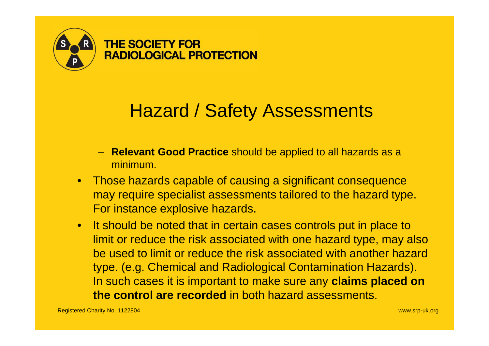

## Hazard / Safety Assessments

- **Relevant Good Practice** should be applied to all hazards as a minimum.
- Those hazards capable of causing a significant consequence may require specialist assessments tailored to the hazard type. For instance explosive hazards.
- It should be noted that in certain cases controls put in place to limit or reduce the risk associated with one hazard type, may also be used to limit or reduce the risk associated with another hazard type. (e.g. Chemical and Radiological Contamination Hazards). In such cases it is important to make sure any **claims placed on the control are recorded** in both hazard assessments.

Registered Charity No. 1122804 www.srp-uk.org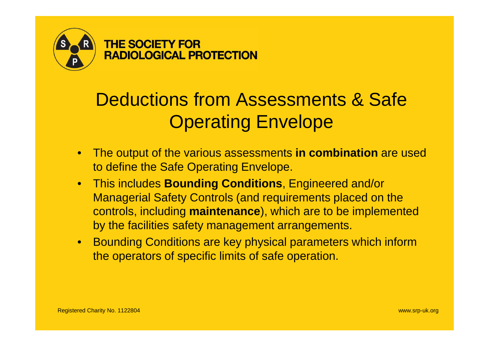

# Deductions from Assessments & Safe **Operating Envelope**

- The output of the various assessments **in combination** are used to define the Safe Operating Envelope.
- This includes **Bounding Conditions**, Engineered and/or Managerial Safety Controls (and requirements placed on the controls, including **maintenance**), which are to be implemented by the facilities safety management arrangements.
- Bounding Conditions are key physical parameters which inform the operators of specific limits of safe operation.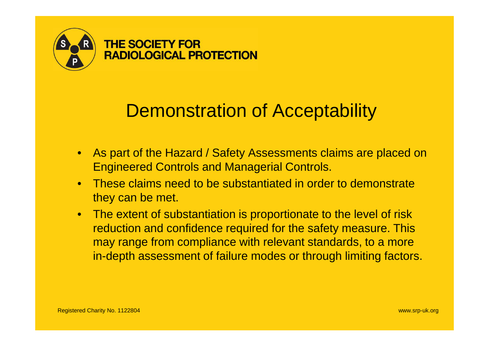

### Demonstration of Acceptability

- As part of the Hazard / Safety Assessments claims are placed on Engineered Controls and Managerial Controls.
- These claims need to be substantiated in order to demonstrate they can be met.
- The extent of substantiation is proportionate to the level of risk reduction and confidence required for the safety measure. This may range from compliance with relevant standards, to a more in-depth assessment of failure modes or through limiting factors.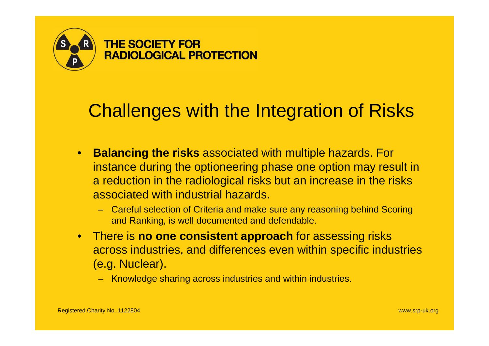

## Challenges with the Integration of Risks

- **Balancing the risks** associated with multiple hazards. For instance during the optioneering phase one option may result in a reduction in the radiological risks but an increase in the risks associated with industrial hazards.
	- Careful selection of Criteria and make sure any reasoning behind Scoring and Ranking, is well documented and defendable.
- There is **no one consistent approach** for assessing risks across industries, and differences even within specific industries (e.g. Nuclear).
	- Knowledge sharing across industries and within industries.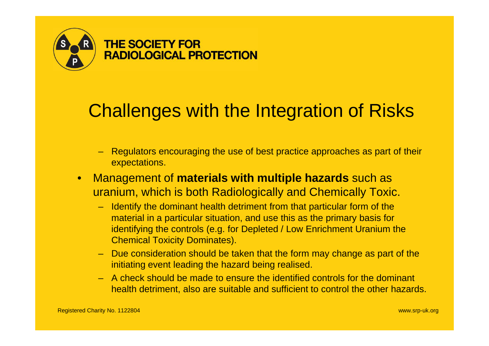

## Challenges with the Integration of Risks

- Regulators encouraging the use of best practice approaches as part of their expectations.
- Management of **materials with multiple hazards** such as uranium, which is both Radiologically and Chemically Toxic.
	- Identify the dominant health detriment from that particular form of the material in a particular situation, and use this as the primary basis for identifying the controls (e.g. for Depleted / Low Enrichment Uranium the Chemical Toxicity Dominates).
	- Due consideration should be taken that the form may change as part of the initiating event leading the hazard being realised.
	- A check should be made to ensure the identified controls for the dominant health detriment, also are suitable and sufficient to control the other hazards.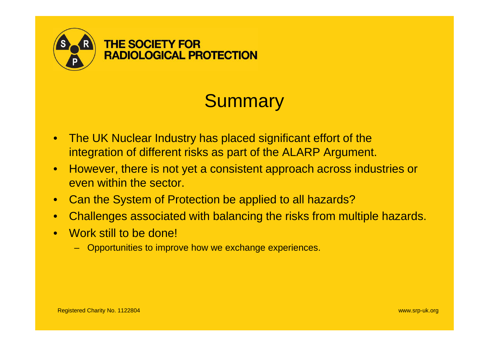

# **Summary**

- The UK Nuclear Industry has placed significant effort of the integration of different risks as part of the ALARP Argument.
- However, there is not yet a consistent approach across industries or even within the sector.
- Can the System of Protection be applied to all hazards?
- Challenges associated with balancing the risks from multiple hazards.
- Work still to be done!
	- Opportunities to improve how we exchange experiences.